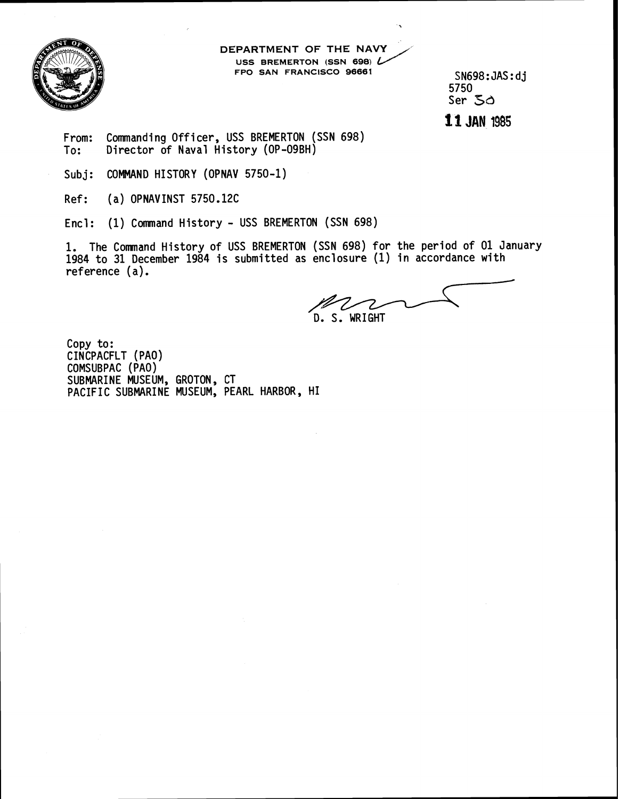

**DEPARTMENT OF THE NAVY USS BREMERTON (SSN 698) FPO SAN FRANCISCO 96661** SN698 : JAS : d **<sup>j</sup>**

5750 Ser **5d** 

From: Commanding Officer, USS BREMERTON (SSN 698) To: Director of Naval History (OP-09BH)

Subj: COMMAND HISTORY (OPNAV 5750-1)

Ref: (a) OPNAVINST 5750.12C

Encl: (1) Command History - USS BREMERTON (SSN 698)

1. The Comnand History of USS BREMERTON (SSN 698) for the period of 01 January 1984 to 31 December 1984 is submitted as enclosure (1) in accordance with reference (a). N (SSN 698)<br>
CISCO 96661<br>
SNG98:JAS:dj<br>
5750<br>
SPC 50<br>
11 JAN 1985<br>
(SSN 698)<br>
(SSN 698)<br>
(SSN 698)<br>
for the period of 01 January<br>
enclosure (1) in accordance with<br>
D. S. WRIGHT

D. S. WRIGHT

Copy to: CINCPACFLT (PAO) COMSUBPAC (PAO) SUBMARINE MUSEUM, GROTON, CT PACIFIC SUBMARINE MUSEUM, PEARL HARBOR, HI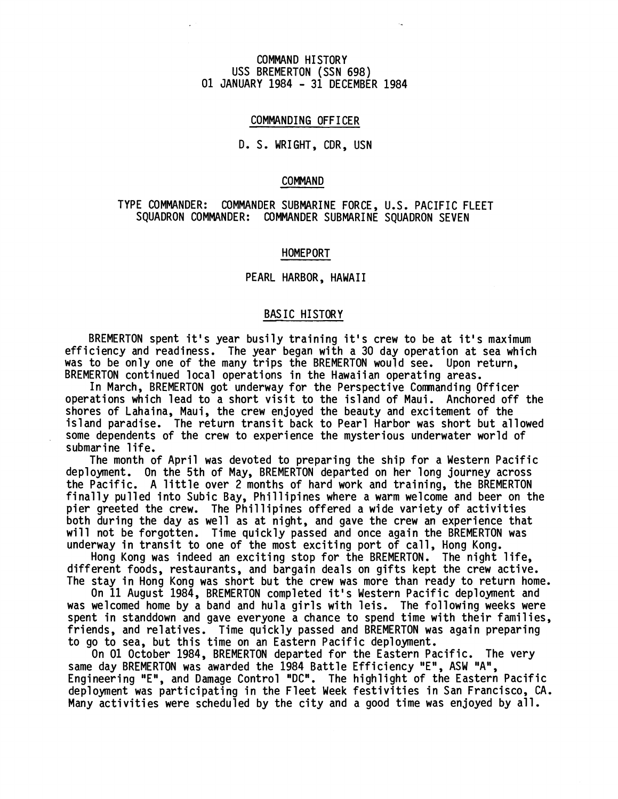## COMMAND HI STORY USS BREMERTON (SSN 698) 01 JANUARY 1984 - 31 DECEMBER 1984

## COMMANDING OFFICER

# D. S. WRIGHT, CDR, USN

#### COMMAND

# TYPE COMMANDER: COMMANDER SUBMARINE FORCE, U.S. PACIFIC FLEET SQUADRON COMMANDER: COMMANDER SUBMARINE SQUADRON SEVEN

### HOMEPORT

#### PEARL HARBOR, HAWAII

### BAS IC HISTORY

BREMERTON spent it's year busily training it's crew to be at it's maximum efficiency and readiness. The year began with a 30 day operation at sea which was to be only one of the many trips the BREMERTON would see. Upon return, BREMERTON continued local operations in the Hawaiian operating areas.

In March, BREMERTON got underway for the Perspective Commanding Officer operations which lead to a short visit to the island of Maui. Anchored off the shores of Lahaina, Maui, the crew enjoyed the beauty and excitement of the island paradise. The return transit back to Pearl Harbor was short but allowed some dependents of the crew to experience the mysterious underwater world of submarine life.

The month of April was devoted to preparing the ship for a Western Pacific deployment. On the 5th of May, BREMERTON departed on her long journey across the Pacific. A little over 2 months of hard work and training, the BREMERTON finally pulled into Subic Bay, Phillipines where a warm welcome and beer on the pier greeted the crew. The Phillipines offered a wide variety of activities both during the day as well as at night, and gave the crew an experience that will not be forgotten. Time quickly passed and once again the BREMERTON was underway in transit to one of the most exciting port of call, Hong Kong.

Hong Kong was indeed an exciting stop for the BREMERTON. The night life, different foods, restaurants, and bargain deals on gifts kept the crew active. The stay in Hong Kong was short but the crew was more than ready to return home.

On 11 August 1984, BREMERTON completed it's Western Pacific deployment and was welcomed home by a band and hula girls with leis. The following weeks were spent in standdown and gave everyone a chance to spend time with their families. friends, and relatives. Time quickly passed and BREMERTON was again preparing to go to sea, but this time on an Eastern Pacific deployment.

On 01 October 1984, BREMERTON departed for the Eastern Pacific. The very same day BREMERTON was awarded the 1984 Battle Efficiency "E", ASW "A", Engineering "E", and Damage Control "DC". The highlight of the Eastern Pacific deployment was participating in the Fleet Week festivities in San Francisco, CA. Many activities were scheduled by the city and a good time was enjoyed by all.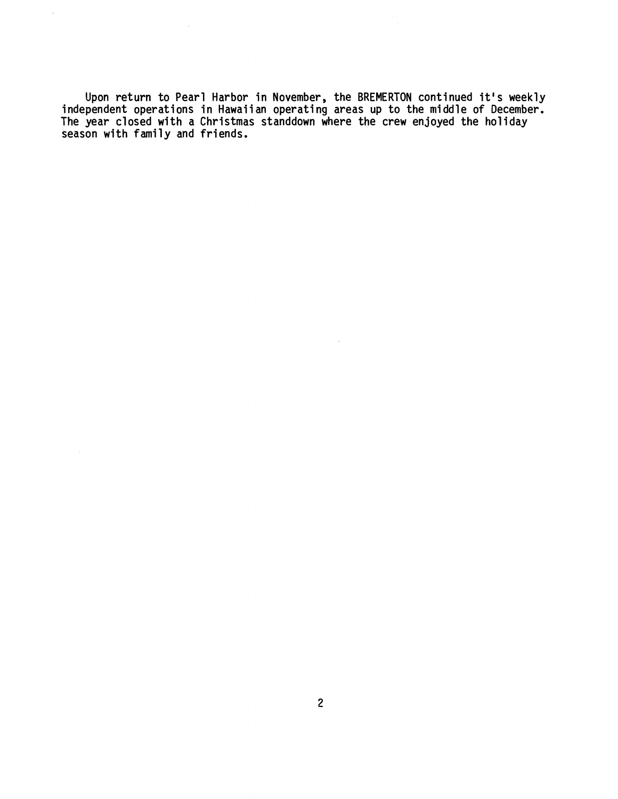Upon return to Pearl Harbor in November, the BREMERTON continued it's weekly<br>independent operations in Hawaiian operating areas up to the middle of December.<br>The year closed with a Christmas standdown where the crew enjoye **season with family and friends.** 

 $\mathcal{L}^{\mathcal{A}}$ 

 $\mathcal{L}$